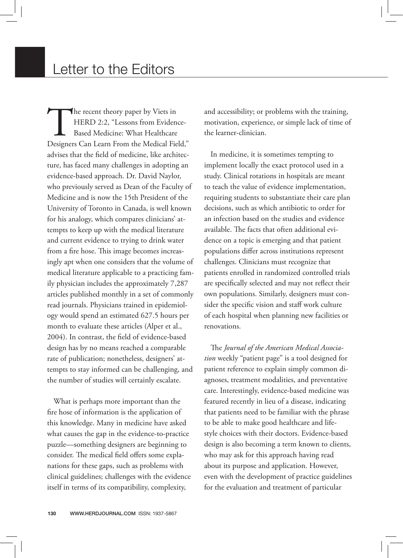The recent theory paper by Viets in<br>
HERD 2:2, "Lessons from Evidence-<br>
Based Medicine: What Healthcare<br>
Designers Can Learn From the Medical Field," HERD 2:2, "Lessons from Evidence-Based Medicine: What Healthcare advises that the field of medicine, like architecture, has faced many challenges in adopting an evidence-based approach. Dr. David Naylor, who previously served as Dean of the Faculty of Medicine and is now the 15th President of the University of Toronto in Canada, is well known for his analogy, which compares clinicians' attempts to keep up with the medical literature and current evidence to trying to drink water from a fire hose. This image becomes increasingly apt when one considers that the volume of medical literature applicable to a practicing family physician includes the approximately 7,287 articles published monthly in a set of commonly read journals. Physicians trained in epidemiology would spend an estimated 627.5 hours per month to evaluate these articles (Alper et al., 2004). In contrast, the field of evidence-based design has by no means reached a comparable rate of publication; nonetheless, designers' attempts to stay informed can be challenging, and the number of studies will certainly escalate.

What is perhaps more important than the fire hose of information is the application of this knowledge. Many in medicine have asked what causes the gap in the evidence-to-practice puzzle—something designers are beginning to consider. The medical field offers some explanations for these gaps, such as problems with clinical guidelines; challenges with the evidence itself in terms of its compatibility, complexity,

and accessibility; or problems with the training, motivation, experience, or simple lack of time of the learner-clinician.

In medicine, it is sometimes tempting to implement locally the exact protocol used in a study. Clinical rotations in hospitals are meant to teach the value of evidence implementation, requiring students to substantiate their care plan decisions, such as which antibiotic to order for an infection based on the studies and evidence available. The facts that often additional evidence on a topic is emerging and that patient populations differ across institutions represent challenges. Clinicians must recognize that patients enrolled in randomized controlled trials are specifically selected and may not reflect their own populations. Similarly, designers must consider the specific vision and staff work culture of each hospital when planning new facilities or renovations.

The *Journal of the American Medical Association* weekly "patient page" is a tool designed for patient reference to explain simply common diagnoses, treatment modalities, and preventative care. Interestingly, evidence-based medicine was featured recently in lieu of a disease, indicating that patients need to be familiar with the phrase to be able to make good healthcare and lifestyle choices with their doctors. Evidence-based design is also becoming a term known to clients, who may ask for this approach having read about its purpose and application. However, even with the development of practice guidelines for the evaluation and treatment of particular